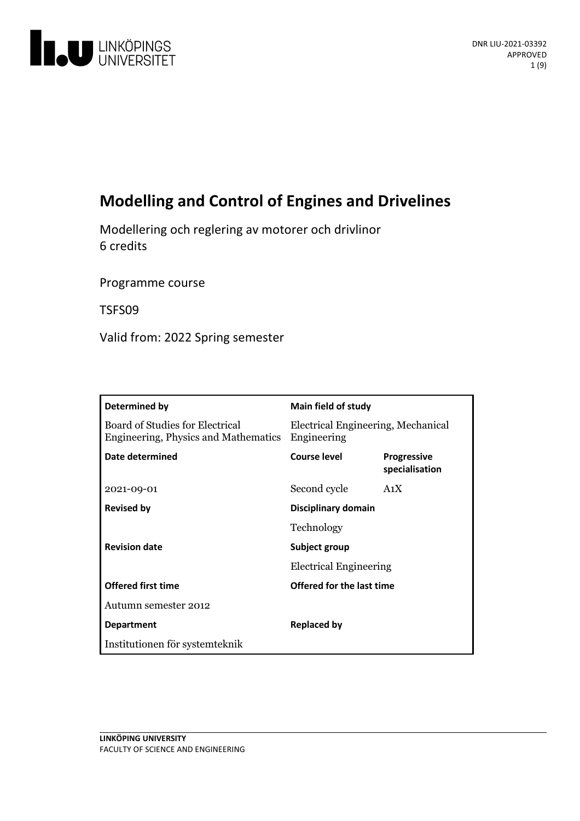

# **Modelling and Control ofEngines and Drivelines**

Modellering och regleringav motorer och drivlinor 6 credits

Programme course

TSFS09

Valid from: 2022 Spring semester

| Determined by                                                           | <b>Main field of study</b>                        |                                      |
|-------------------------------------------------------------------------|---------------------------------------------------|--------------------------------------|
| Board of Studies for Electrical<br>Engineering, Physics and Mathematics | Electrical Engineering, Mechanical<br>Engineering |                                      |
| Date determined                                                         | Course level                                      | <b>Progressive</b><br>specialisation |
| 2021-09-01                                                              | Second cycle                                      | A <sub>1</sub> X                     |
| <b>Revised by</b>                                                       | Disciplinary domain                               |                                      |
|                                                                         | Technology                                        |                                      |
| <b>Revision date</b>                                                    | Subject group<br><b>Electrical Engineering</b>    |                                      |
|                                                                         |                                                   |                                      |
| <b>Offered first time</b>                                               | Offered for the last time                         |                                      |
| Autumn semester 2012                                                    |                                                   |                                      |
| <b>Department</b>                                                       | <b>Replaced by</b>                                |                                      |
| Institutionen för systemteknik                                          |                                                   |                                      |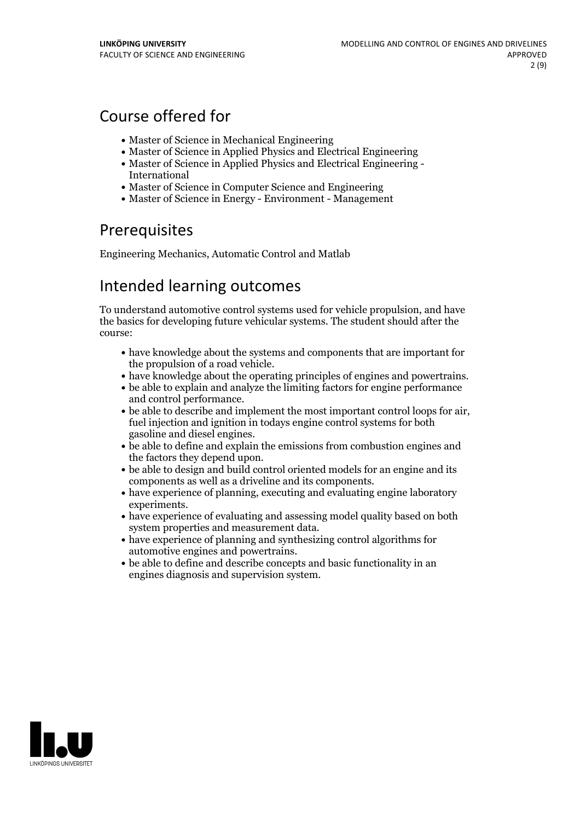# Course offered for

- Master of Science in Mechanical Engineering
- Master of Science in Applied Physics and Electrical Engineering
- Master of Science in Applied Physics and Electrical Engineering International
- Master of Science in Computer Science and Engineering
- Master of Science in Energy Environment Management

## **Prerequisites**

Engineering Mechanics, Automatic Control and Matlab

## Intended learning outcomes

To understand automotive control systems used for vehicle propulsion, and have the basics for developing future vehicular systems. The student should after the course:

- have knowledge about the systems and components that are important for
- the propulsion of a road vehicle.<br>• have knowledge about the operating principles of engines and powertrains.<br>• be able to explain and analyze the limiting factors for engine performance
- 
- and control performance.<br>
be able to describe and implement the most important control loops for air, fuel injection and ignition in todays engine control systems for both
- gasoline and diesel engines.<br>• be able to define and explain the emissions from combustion engines and the factors they depend upon.<br>• be able to design and build control oriented models for an engine and its
- 
- components as well as a driveline and its components.<br>• have experience of planning, executing and evaluating engine laboratory experiments.<br>• have experience of evaluating and assessing model quality based on both
- 
- system properties and measurement data.<br>• have experience of planning and synthesizing control algorithms for automotive engines and powertrains.
- be able to define and describe concepts and basic functionality in an engines diagnosis and supervision system.

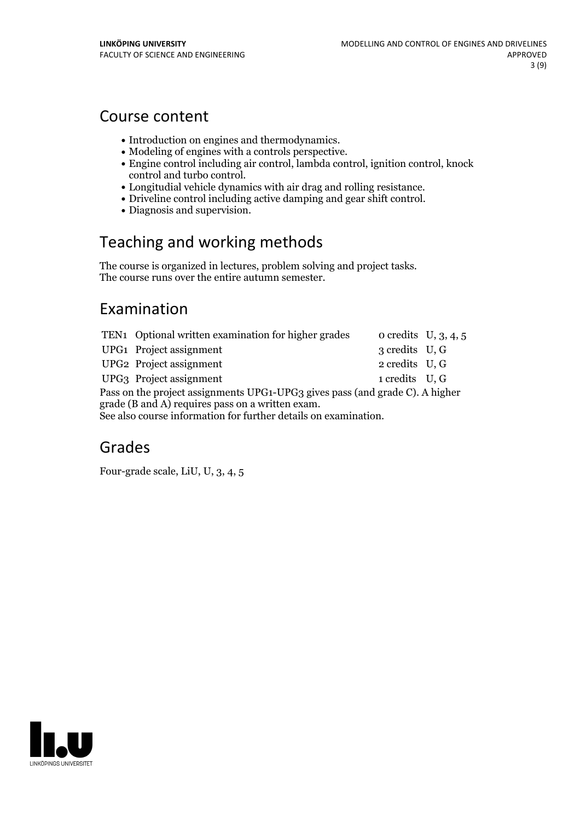## Course content

- 
- 
- Introduction on engines and thermodynamics. Modeling of engines with <sup>a</sup> controls perspective. Engine control including air control, lambda control, ignition control, knock
- Longitudial vehicle dynamics with air drag and rolling resistance.<br>- Driveline control including active damping and gear shift control.<br>- Diagnosis and supervision.
- 
- 

# Teaching and working methods

The course is organized in lectures, problem solving and project tasks. The course runs over the entire autumn semester.

## Examination

|                                                                              | TEN1 Optional written examination for higher grades |                | o credits $U, 3, 4, 5$ |  |  |
|------------------------------------------------------------------------------|-----------------------------------------------------|----------------|------------------------|--|--|
|                                                                              | UPG1 Project assignment                             | 3 credits U, G |                        |  |  |
|                                                                              | UPG2 Project assignment                             | 2 credits U, G |                        |  |  |
|                                                                              | UPG3 Project assignment                             | 1 credits U, G |                        |  |  |
| Pass on the project assignments UPG1-UPG3 gives pass (and grade C). A higher |                                                     |                |                        |  |  |
| grade (B and A) requires pass on a written exam.                             |                                                     |                |                        |  |  |
| See also course information for further details on examination.              |                                                     |                |                        |  |  |

## Grades

Four-grade scale, LiU, U, 3, 4, 5

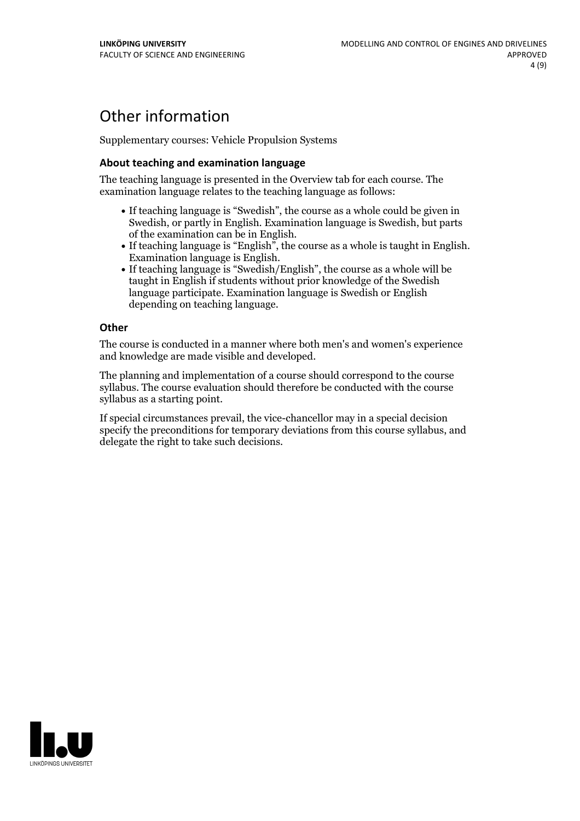# Other information

Supplementary courses: Vehicle Propulsion Systems

### **About teaching and examination language**

The teaching language is presented in the Overview tab for each course. The examination language relates to the teaching language as follows:

- If teaching language is "Swedish", the course as a whole could be given in Swedish, or partly in English. Examination language is Swedish, but parts
- of the examination can be in English. If teaching language is "English", the course as <sup>a</sup> whole is taught in English. Examination language is English. If teaching language is "Swedish/English", the course as <sup>a</sup> whole will be
- taught in English if students without prior knowledge of the Swedish language participate. Examination language is Swedish or English depending on teaching language.

#### **Other**

The course is conducted in a manner where both men's and women's experience and knowledge are made visible and developed.

The planning and implementation of a course should correspond to the course syllabus. The course evaluation should therefore be conducted with the course syllabus as a starting point.

If special circumstances prevail, the vice-chancellor may in a special decision specify the preconditions for temporary deviations from this course syllabus, and delegate the right to take such decisions.

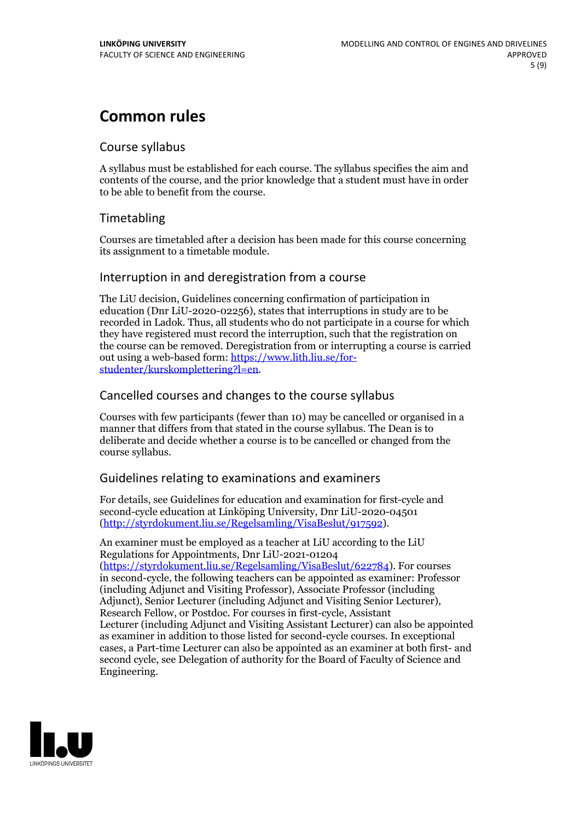# **Common rules**

## Course syllabus

A syllabus must be established for each course. The syllabus specifies the aim and contents of the course, and the prior knowledge that a student must have in order to be able to benefit from the course.

## Timetabling

Courses are timetabled after a decision has been made for this course concerning its assignment to a timetable module.

## Interruption in and deregistration from a course

The LiU decision, Guidelines concerning confirmation of participation in education (Dnr LiU-2020-02256), states that interruptions in study are to be recorded in Ladok. Thus, all students who do not participate in a course for which they have registered must record the interruption, such that the registration on the course can be removed. Deregistration from or interrupting a course is carried out using <sup>a</sup> web-based form: https://www.lith.liu.se/for- [studenter/kurskomplettering?l=en.](https://www.lith.liu.se/for-studenter/kurskomplettering?l=en)

## Cancelled coursesand changes to the course syllabus

Courses with few participants (fewer than 10) may be cancelled or organised in a manner that differs from that stated in the course syllabus. The Dean is to deliberate and decide whether a course is to be cancelled or changed from the course syllabus.

## Guidelines relating to examinations and examiners

For details, see Guidelines for education and examination for first-cycle and second-cycle education at Linköping University, Dnr LiU-2020-04501 [\(http://styrdokument.liu.se/Regelsamling/VisaBeslut/917592\)](http://styrdokument.liu.se/Regelsamling/VisaBeslut/917592).

An examiner must be employed as a teacher at LiU according to the LiU Regulations for Appointments, Dnr LiU-2021-01204 [\(https://styrdokument.liu.se/Regelsamling/VisaBeslut/622784](https://styrdokument.liu.se/Regelsamling/VisaBeslut/622784)). For courses in second-cycle, the following teachers can be appointed as examiner: Professor (including Adjunct and Visiting Professor), Associate Professor (including Adjunct), Senior Lecturer (including Adjunct and Visiting Senior Lecturer), Research Fellow, or Postdoc. For courses in first-cycle, Assistant Lecturer (including Adjunct and Visiting Assistant Lecturer) can also be appointed as examiner in addition to those listed for second-cycle courses. In exceptional cases, a Part-time Lecturer can also be appointed as an examiner at both first- and second cycle, see Delegation of authority for the Board of Faculty of Science and Engineering.

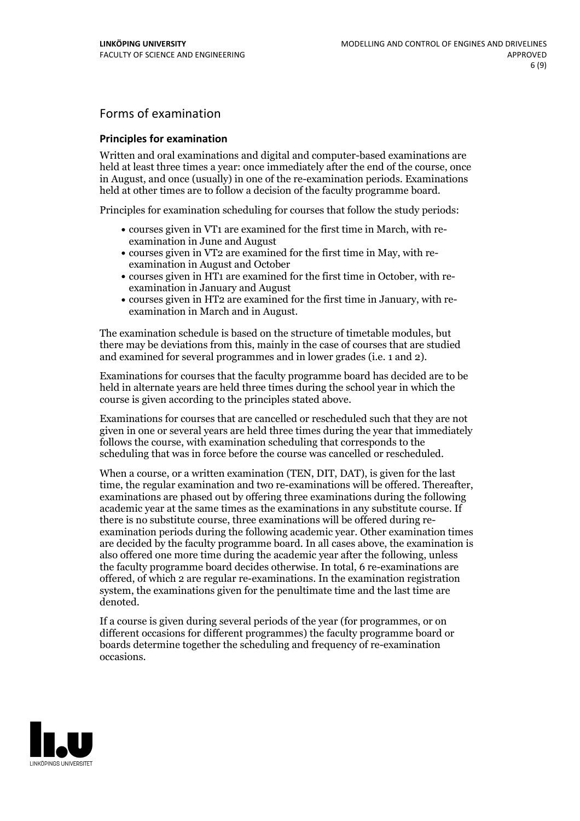## Forms of examination

### **Principles for examination**

Written and oral examinations and digital and computer-based examinations are held at least three times a year: once immediately after the end of the course, once in August, and once (usually) in one of the re-examination periods. Examinations held at other times are to follow a decision of the faculty programme board.

Principles for examination scheduling for courses that follow the study periods:

- courses given in VT1 are examined for the first time in March, with re-examination in June and August
- courses given in VT2 are examined for the first time in May, with re-examination in August and October
- courses given in HT1 are examined for the first time in October, with re-examination in January and August
- courses given in HT2 are examined for the first time in January, with re-examination in March and in August.

The examination schedule is based on the structure of timetable modules, but there may be deviations from this, mainly in the case of courses that are studied and examined for several programmes and in lower grades (i.e. 1 and 2).

Examinations for courses that the faculty programme board has decided are to be held in alternate years are held three times during the school year in which the course is given according to the principles stated above.

Examinations for courses that are cancelled orrescheduled such that they are not given in one or several years are held three times during the year that immediately follows the course, with examination scheduling that corresponds to the scheduling that was in force before the course was cancelled or rescheduled.

When a course, or a written examination (TEN, DIT, DAT), is given for the last time, the regular examination and two re-examinations will be offered. Thereafter, examinations are phased out by offering three examinations during the following academic year at the same times as the examinations in any substitute course. If there is no substitute course, three examinations will be offered during re- examination periods during the following academic year. Other examination times are decided by the faculty programme board. In all cases above, the examination is also offered one more time during the academic year after the following, unless the faculty programme board decides otherwise. In total, 6 re-examinations are offered, of which 2 are regular re-examinations. In the examination registration system, the examinations given for the penultimate time and the last time are denoted.

If a course is given during several periods of the year (for programmes, or on different occasions for different programmes) the faculty programme board or boards determine together the scheduling and frequency of re-examination occasions.

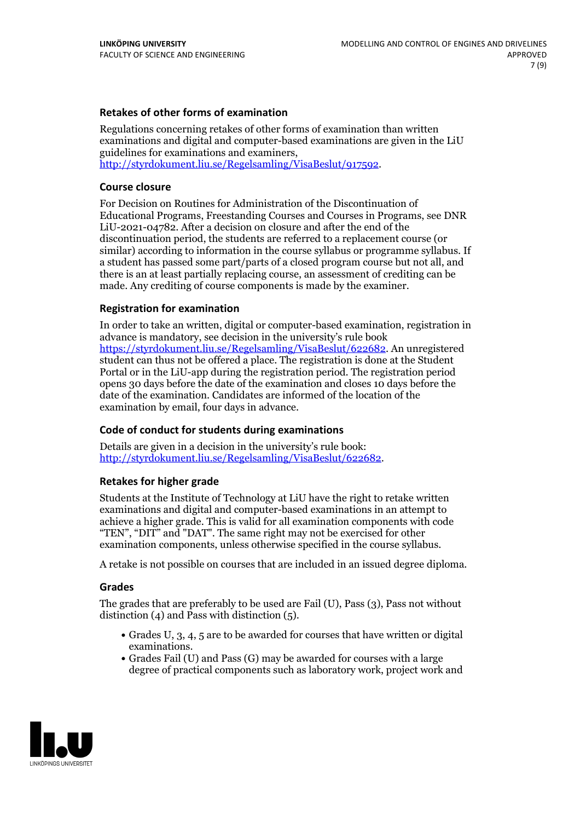### **Retakes of other forms of examination**

Regulations concerning retakes of other forms of examination than written examinations and digital and computer-based examinations are given in the LiU guidelines for examinations and examiners, [http://styrdokument.liu.se/Regelsamling/VisaBeslut/917592.](http://styrdokument.liu.se/Regelsamling/VisaBeslut/917592)

#### **Course closure**

For Decision on Routines for Administration of the Discontinuation of Educational Programs, Freestanding Courses and Courses in Programs, see DNR LiU-2021-04782. After a decision on closure and after the end of the discontinuation period, the students are referred to a replacement course (or similar) according to information in the course syllabus or programme syllabus. If a student has passed some part/parts of a closed program course but not all, and there is an at least partially replacing course, an assessment of crediting can be made. Any crediting of course components is made by the examiner.

#### **Registration for examination**

In order to take an written, digital or computer-based examination, registration in advance is mandatory, see decision in the university's rule book [https://styrdokument.liu.se/Regelsamling/VisaBeslut/622682.](https://styrdokument.liu.se/Regelsamling/VisaBeslut/622682) An unregistered student can thus not be offered a place. The registration is done at the Student Portal or in the LiU-app during the registration period. The registration period opens 30 days before the date of the examination and closes 10 days before the date of the examination. Candidates are informed of the location of the examination by email, four days in advance.

#### **Code of conduct for students during examinations**

Details are given in a decision in the university's rule book: <http://styrdokument.liu.se/Regelsamling/VisaBeslut/622682>.

#### **Retakes for higher grade**

Students at the Institute of Technology at LiU have the right to retake written examinations and digital and computer-based examinations in an attempt to achieve a higher grade. This is valid for all examination components with code "TEN", "DIT" and "DAT". The same right may not be exercised for other examination components, unless otherwise specified in the course syllabus.

A retake is not possible on courses that are included in an issued degree diploma.

#### **Grades**

The grades that are preferably to be used are Fail (U), Pass (3), Pass not without distinction  $(4)$  and Pass with distinction  $(5)$ .

- Grades U, 3, 4, 5 are to be awarded for courses that have written or digital examinations.<br>• Grades Fail (U) and Pass (G) may be awarded for courses with a large
- degree of practical components such as laboratory work, project work and

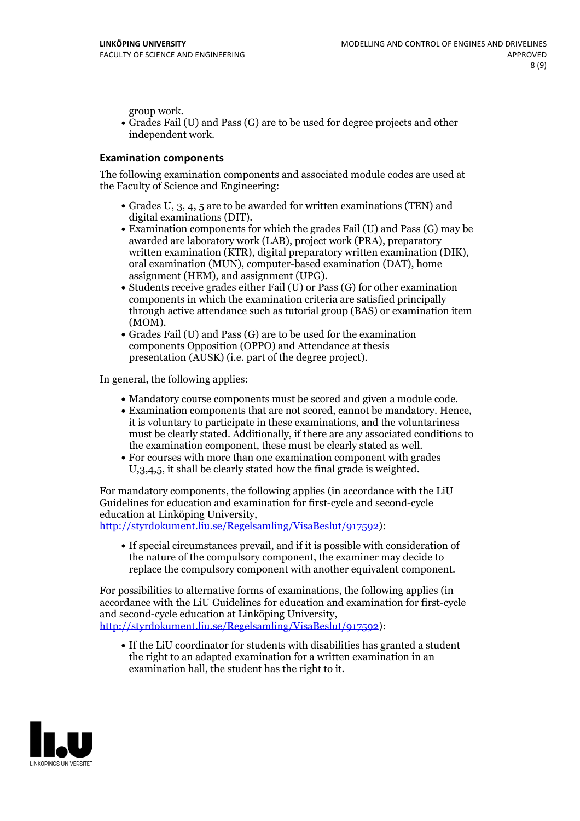group work.<br>• Grades Fail (U) and Pass (G) are to be used for degree projects and other independent work.

### **Examination components**

The following examination components and associated module codes are used at the Faculty of Science and Engineering:

- Grades U, 3, 4, 5 are to be awarded for written examinations (TEN) and
- digital examinations (DIT).<br>• Examination components for which the grades Fail (U) and Pass (G) may be awarded are laboratory work (LAB), project work (PRA), preparatory written examination (KTR), digital preparatory written examination (DIK), oral examination (MUN), computer-based examination (DAT), home
- assignment (HEM), and assignment (UPG).<br>• Students receive grades either Fail (U) or Pass (G) for other examination components in which the examination criteria are satisfied principally through active attendance such as tutorial group (BAS) or examination item
- (MOM).<br>• Grades Fail (U) and Pass (G) are to be used for the examination components Opposition (OPPO) and Attendance at thesis presentation (AUSK) (i.e. part of the degree project).

In general, the following applies:

- 
- Mandatory course components must be scored and given <sup>a</sup> module code. Examination components that are not scored, cannot be mandatory. Hence, it is voluntary to participate in these examinations, and the voluntariness must be clearly stated. Additionally, if there are any associated conditions to
- the examination component, these must be clearly stated as well.<br>• For courses with more than one examination component with grades U,3,4,5, it shall be clearly stated how the final grade is weighted.

For mandatory components, the following applies (in accordance with the LiU Guidelines for education and examination for first-cycle and second-cycle

[http://styrdokument.liu.se/Regelsamling/VisaBeslut/917592\)](http://styrdokument.liu.se/Regelsamling/VisaBeslut/917592):

If special circumstances prevail, and if it is possible with consideration of the nature of the compulsory component, the examiner may decide to replace the compulsory component with another equivalent component.

For possibilities to alternative forms of examinations, the following applies (in accordance with the LiU Guidelines for education and examination for first-cycle [http://styrdokument.liu.se/Regelsamling/VisaBeslut/917592\)](http://styrdokument.liu.se/Regelsamling/VisaBeslut/917592):

If the LiU coordinator for students with disabilities has granted a student the right to an adapted examination for a written examination in an examination hall, the student has the right to it.